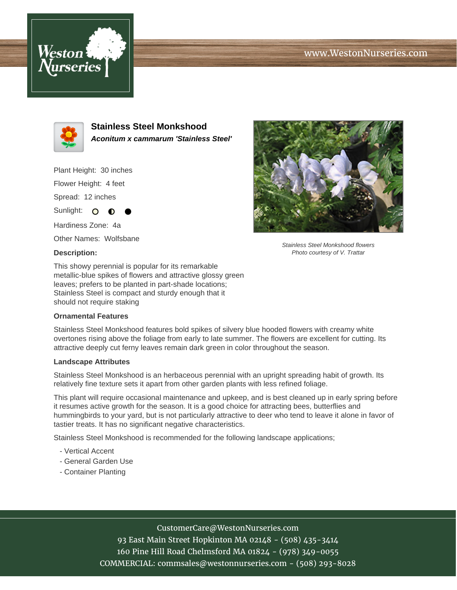# www.WestonNurseries.com





**Stainless Steel Monkshood Aconitum x cammarum 'Stainless Steel'**

Plant Height: 30 inches Flower Height: 4 feet Spread: 12 inches

Sunlight: O Hardiness Zone: 4a Other Names: Wolfsbane

∩

### **Description:**



Stainless Steel Monkshood flowers Photo courtesy of V. Trattar

This showy perennial is popular for its remarkable metallic-blue spikes of flowers and attractive glossy green leaves; prefers to be planted in part-shade locations; Stainless Steel is compact and sturdy enough that it should not require staking

### **Ornamental Features**

Stainless Steel Monkshood features bold spikes of silvery blue hooded flowers with creamy white overtones rising above the foliage from early to late summer. The flowers are excellent for cutting. Its attractive deeply cut ferny leaves remain dark green in color throughout the season.

#### **Landscape Attributes**

Stainless Steel Monkshood is an herbaceous perennial with an upright spreading habit of growth. Its relatively fine texture sets it apart from other garden plants with less refined foliage.

This plant will require occasional maintenance and upkeep, and is best cleaned up in early spring before it resumes active growth for the season. It is a good choice for attracting bees, butterflies and hummingbirds to your yard, but is not particularly attractive to deer who tend to leave it alone in favor of tastier treats. It has no significant negative characteristics.

Stainless Steel Monkshood is recommended for the following landscape applications;

- Vertical Accent
- General Garden Use
- Container Planting

## CustomerCare@WestonNurseries.com

93 East Main Street Hopkinton MA 02148 - (508) 435-3414 160 Pine Hill Road Chelmsford MA 01824 - (978) 349-0055 COMMERCIAL: commsales@westonnurseries.com - (508) 293-8028